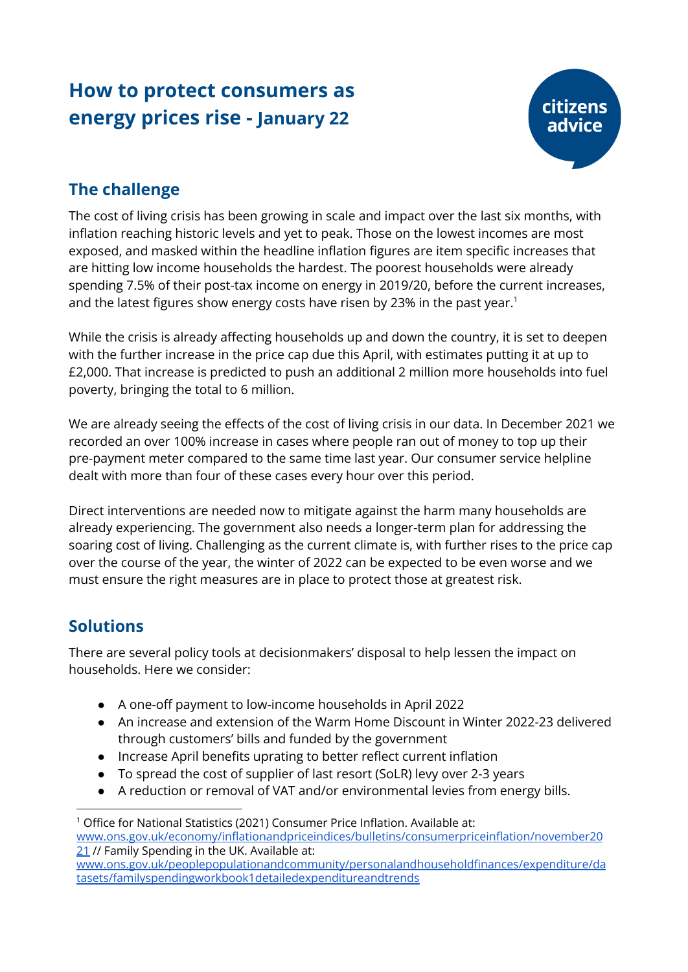# **How to protect consumers as energy prices rise - January 22**



## **The challenge**

The cost of living crisis has been growing in scale and impact over the last six months, with inflation reaching historic levels and yet to peak. Those on the lowest incomes are most exposed, and masked within the headline inflation figures are item specific increases that are hitting low income households the hardest. The poorest households were already spending 7.5% of their post-tax income on energy in 2019/20, before the current increases, and the latest figures show energy costs have risen by 23% in the past year. 1

While the crisis is already affecting households up and down the country, it is set to deepen with the further increase in the price cap due this April, with estimates putting it at up to £2,000. That increase is predicted to push an additional 2 million more households into fuel poverty, bringing the total to 6 million.

We are already seeing the effects of the cost of living crisis in our data. In December 2021 we recorded an over 100% increase in cases where people ran out of money to top up their pre-payment meter compared to the same time last year. Our consumer service helpline dealt with more than four of these cases every hour over this period.

Direct interventions are needed now to mitigate against the harm many households are already experiencing. The government also needs a longer-term plan for addressing the soaring cost of living. Challenging as the current climate is, with further rises to the price cap over the course of the year, the winter of 2022 can be expected to be even worse and we must ensure the right measures are in place to protect those at greatest risk.

## **Solutions**

There are several policy tools at decisionmakers' disposal to help lessen the impact on households. Here we consider:

- A one-off payment to low-income households in April 2022
- An increase and extension of the Warm Home Discount in Winter 2022-23 delivered through customers' bills and funded by the government
- Increase April benefits uprating to better reflect current inflation
- To spread the cost of supplier of last resort (SoLR) levy over 2-3 years
- A reduction or removal of VAT and/or environmental levies from energy bills.

<sup>&</sup>lt;sup>1</sup> Office for National Statistics (2021) Consumer Price Inflation. Available at: [www.ons.gov.uk/economy/inflationandpriceindices/bulletins/consumerpriceinflation/november20](http://www.ons.gov.uk/economy/inflationandpriceindices/bulletins/consumerpriceinflation/november2021) [21](http://www.ons.gov.uk/economy/inflationandpriceindices/bulletins/consumerpriceinflation/november2021) // Family Spending in the UK. Available at: [www.ons.gov.uk/peoplepopulationandcommunity/personalandhouseholdfinances/expenditure/da](https://www.ons.gov.uk/peoplepopulationandcommunity/personalandhouseholdfinances/expenditure/datasets/familyspendingworkbook1detailedexpenditureandtrends) [tasets/familyspendingworkbook1detailedexpenditureandtrends](https://www.ons.gov.uk/peoplepopulationandcommunity/personalandhouseholdfinances/expenditure/datasets/familyspendingworkbook1detailedexpenditureandtrends)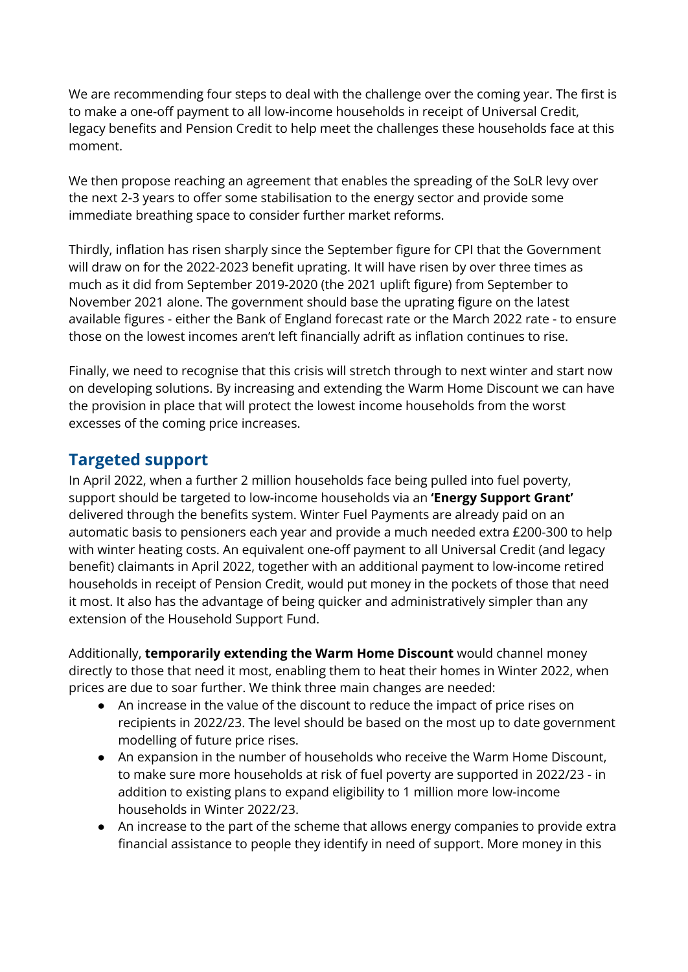We are recommending four steps to deal with the challenge over the coming year. The first is to make a one-off payment to all low-income households in receipt of Universal Credit, legacy benefits and Pension Credit to help meet the challenges these households face at this moment.

We then propose reaching an agreement that enables the spreading of the SoLR levy over the next 2-3 years to offer some stabilisation to the energy sector and provide some immediate breathing space to consider further market reforms.

Thirdly, inflation has risen sharply since the September figure for CPI that the Government will draw on for the 2022-2023 benefit uprating. It will have risen by over three times as much as it did from September 2019-2020 (the 2021 uplift figure) from September to November 2021 alone. The government should base the uprating figure on the latest available figures - either the Bank of England forecast rate or the March 2022 rate - to ensure those on the lowest incomes aren't left financially adrift as inflation continues to rise.

Finally, we need to recognise that this crisis will stretch through to next winter and start now on developing solutions. By increasing and extending the Warm Home Discount we can have the provision in place that will protect the lowest income households from the worst excesses of the coming price increases.

#### **Targeted support**

In April 2022, when a further 2 million households face being pulled into fuel poverty, support should be targeted to low-income households via an **'Energy Support Grant'** delivered through the benefits system. Winter Fuel Payments are already paid on an automatic basis to pensioners each year and provide a much needed extra £200-300 to help with winter heating costs. An equivalent one-off payment to all Universal Credit (and legacy benefit) claimants in April 2022, together with an additional payment to low-income retired households in receipt of Pension Credit, would put money in the pockets of those that need it most. It also has the advantage of being quicker and administratively simpler than any extension of the Household Support Fund.

Additionally, **temporarily extending the Warm Home Discount** would channel money directly to those that need it most, enabling them to heat their homes in Winter 2022, when prices are due to soar further. We think three main changes are needed:

- An increase in the value of the discount to reduce the impact of price rises on recipients in 2022/23. The level should be based on the most up to date government modelling of future price rises.
- An expansion in the number of households who receive the Warm Home Discount, to make sure more households at risk of fuel poverty are supported in 2022/23 - in addition to existing plans to expand eligibility to 1 million more low-income households in Winter 2022/23.
- An increase to the part of the scheme that allows energy companies to provide extra financial assistance to people they identify in need of support. More money in this